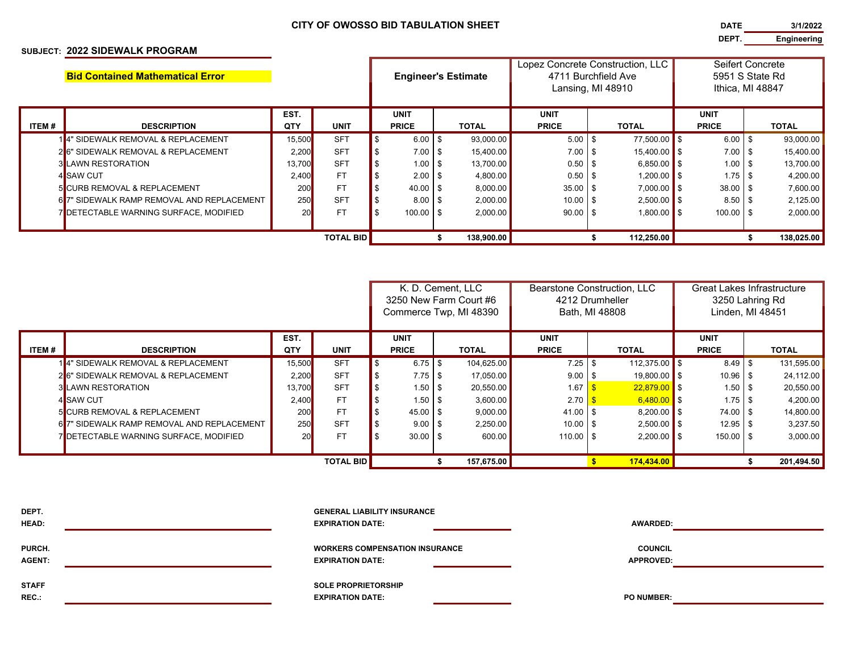## **CITY OF OWOSSO BID TABULATION SHEET**

## **SUBJECT: 2022 SIDEWALK PROGRAM**

**DATE 3/1/2022 DEPT. Engineering**

|                  | <b>Bid Contained Mathematical Error</b>   |        |             |  |              |      | <b>Engineer's Estimate</b> | Lopez Concrete Construction, LLC<br>4711 Burchfield Ave |  |                |  | Seifert Concrete<br>5951 S State Rd |  |              |  |
|------------------|-------------------------------------------|--------|-------------|--|--------------|------|----------------------------|---------------------------------------------------------|--|----------------|--|-------------------------------------|--|--------------|--|
|                  |                                           |        |             |  |              |      |                            | Lansing, MI 48910                                       |  |                |  | Ithica, MI 48847                    |  |              |  |
|                  |                                           | EST.   |             |  | <b>UNIT</b>  |      |                            | <b>UNIT</b>                                             |  |                |  | <b>UNIT</b>                         |  |              |  |
| ITEM #           | <b>DESCRIPTION</b>                        | QTY    | <b>UNIT</b> |  | <b>PRICE</b> |      | <b>TOTAL</b>               | <b>PRICE</b>                                            |  | <b>TOTAL</b>   |  | <b>PRICE</b>                        |  | <b>TOTAL</b> |  |
|                  | 14" SIDEWALK REMOVAL & REPLACEMENT        | 15.500 | <b>SFT</b>  |  | 6.00         | \$   | 93,000.00                  | $5.00$ \ \$                                             |  | 77.500.00 \$   |  | $6.00$ \$                           |  | 93,000.00    |  |
|                  | 26" SIDEWALK REMOVAL & REPLACEMENT        | 2,200  | <b>SFT</b>  |  | 7.00         | \$   | 15,400.00                  | $7.00$ \$                                               |  | $15,400.00$ \$ |  | $7.00$ \$                           |  | 15,400.00    |  |
|                  | <b>3 LAWN RESTORATION</b>                 | 13,700 | <b>SFT</b>  |  | 1.00         | \$   | 13,700.00                  |                                                         |  | $6,850.00$ \$  |  | $1.00$ \ \$                         |  | 13,700.00    |  |
|                  | 4 <sup>SAW</sup> CUT                      | 2,400  | <b>FT</b>   |  | 2.00         | \$   | 4,800.00                   |                                                         |  | $1.200.00$ S   |  |                                     |  | 4,200.00     |  |
|                  | <b>5 CURB REMOVAL &amp; REPLACEMENT</b>   | 200    | <b>FT</b>   |  | 40.00        | - \$ | 8,000.00                   | $35.00$ \ \$                                            |  | $7,000.00$ \$  |  | $38.00$ \ \$                        |  | 7,600.00     |  |
|                  | 67" SIDEWALK RAMP REMOVAL AND REPLACEMENT | 250    | <b>SFT</b>  |  | 8.00         | -\$  | 2,000.00                   | $10.00$ \ \$                                            |  | $2,500.00$ \$  |  | $8.50$ \ \$                         |  | 2,125.00     |  |
|                  | 7 DETECTABLE WARNING SURFACE, MODIFIED    | 20     | <b>FT</b>   |  | $100.00$ \$  |      | 2,000.00                   | $90.00$ \ \$                                            |  | $1.800.00$ \$  |  | $100.00$ \$                         |  | 2,000.00     |  |
|                  |                                           |        |             |  |              |      |                            |                                                         |  |                |  |                                     |  |              |  |
| <b>TOTAL BID</b> |                                           |        |             |  |              |      | 138,900.00                 |                                                         |  | 112,250.00     |  |                                     |  | 138,025.00   |  |

|                  |                                              |           |             | K. D. Cement. LLC      |              |  | Bearstone Construction, LLC |                     |  |                       | <b>Great Lakes Infrastructure</b> |              |  |              |  |  |
|------------------|----------------------------------------------|-----------|-------------|------------------------|--------------|--|-----------------------------|---------------------|--|-----------------------|-----------------------------------|--------------|--|--------------|--|--|
|                  |                                              |           |             | 3250 New Farm Court #6 |              |  | 4212 Drumheller             |                     |  |                       | 3250 Lahring Rd                   |              |  |              |  |  |
|                  |                                              |           |             | Commerce Twp, MI 48390 |              |  | Bath, MI 48808              |                     |  | Linden, MI 48451      |                                   |              |  |              |  |  |
|                  |                                              |           |             |                        |              |  |                             |                     |  |                       |                                   |              |  |              |  |  |
|                  |                                              | EST.      |             |                        | <b>UNIT</b>  |  |                             |                     |  | <b>UNIT</b>           |                                   |              |  | <b>UNIT</b>  |  |  |
| ITEM#            | <b>DESCRIPTION</b>                           | QTY       | <b>UNIT</b> |                        | <b>PRICE</b> |  | <b>TOTAL</b>                | <b>PRICE</b>        |  | <b>TOTAL</b>          |                                   | <b>PRICE</b> |  | <b>TOTAL</b> |  |  |
|                  | 14" SIDEWALK REMOVAL & REPLACEMENT           | 15,500    | <b>SFT</b>  |                        | $6.75$ \$    |  | 104,625.00                  |                     |  | 112,375.00 $\vert$ \$ |                                   | $8.49$ \ \$  |  | 131,595.00   |  |  |
|                  | 26" SIDEWALK REMOVAL & REPLACEMENT           | 2,200     | <b>SFT</b>  |                        |              |  | 17,050.00                   | $9.00$ \$           |  | $19,800.00$ \$        |                                   | $10.96$ \$   |  | 24,112.00    |  |  |
|                  | <b>3 LAWN RESTORATION</b>                    | 13,700    | <b>SFT</b>  |                        |              |  | 20,550.00                   | 1.67                |  | $22,879.00$ \$        |                                   | 1.50         |  | 20,550.00    |  |  |
|                  | 4 SAW CUT                                    | 2,400     | <b>FT</b>   |                        | $1.50$   \$  |  | 3,600.00                    | 2.70                |  | $6,480.00$ \$         |                                   | $1.75$   \$  |  | 4,200.00     |  |  |
|                  | <b>5 CURB REMOVAL &amp; REPLACEMENT</b>      | 200       | <b>FT</b>   |                        | 45.00 \$     |  | 9,000.00                    | $41.00$ \ \$        |  | $8,200.00$ \$         |                                   | 74.00 \$     |  | 14,800.00    |  |  |
|                  | 67" SIDEWALK RAMP REMOVAL AND REPLACEMENT    | 250       | <b>SFT</b>  |                        | $9.00$ \$    |  | 2,250.00                    | $10.00$ \ \$        |  | $2,500.00$ \$         |                                   | $12.95$ \ \$ |  | 3,237.50     |  |  |
|                  | <b>JOETECTABLE WARNING SURFACE, MODIFIED</b> | <b>20</b> | <b>FT</b>   |                        | $30.00$ \ \$ |  | 600.00                      | $110.00$ $\vert$ \$ |  | $2,200.00$ \$         |                                   | $150.00$ \$  |  | 3,000.00     |  |  |
|                  |                                              |           |             |                        |              |  |                             |                     |  |                       |                                   |              |  |              |  |  |
| <b>TOTAL BID</b> |                                              |           |             |                        |              |  | 157,675.00                  |                     |  | 174,434.00            |                                   |              |  | 201,494.50   |  |  |

| DEPT.<br>HEAD:          | <b>GENERAL LIABILITY INSURANCE</b><br><b>EXPIRATION DATE:</b>    | <b>AWARDED:</b>                    |  |
|-------------------------|------------------------------------------------------------------|------------------------------------|--|
| PURCH.<br><b>AGENT:</b> | <b>WORKERS COMPENSATION INSURANCE</b><br><b>EXPIRATION DATE:</b> | <b>COUNCIL</b><br><b>APPROVED:</b> |  |
| <b>STAFF</b><br>REC.:   | <b>SOLE PROPRIETORSHIP</b><br><b>EXPIRATION DATE:</b>            | <b>PO NUMBER:</b>                  |  |